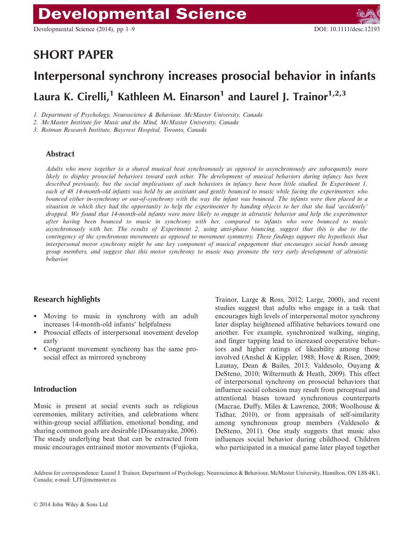# SHORT PAPER

# Interpersonal synchrony increases prosocial behavior in infants Laura K. Cirelli,<sup>1</sup> Kathleen M. Einarson<sup>1</sup> and Laurel J. Trainor<sup>1,2,3</sup>

1. Department of Psychology, Neuroscience & Behaviour, McMaster University, Canada

2. McMaster Institute for Music and the Mind, McMaster University, Canada

3. Rotman Research Institute, Baycrest Hospital, Toronto, Canada

#### Abstract

Adults who move together to a shared musical beat synchronously as opposed to asynchronously are subsequently more likely to display prosocial behaviors toward each other. The development of musical behaviors during infancy has been described previously, but the social implications of such behaviors in infancy have been little studied. In Experiment 1, each of 48 14-month-old infants was held by an assistant and gently bounced to music while facing the experimenter, who bounced either in-synchrony or out-of-synchrony with the way the infant was bounced. The infants were then placed in a situation in which they had the opportunity to help the experimenter by handing objects to her that she had 'accidently' dropped. We found that 14-month-old infants were more likely to engage in altruistic behavior and help the experimenter after having been bounced to music in synchrony with her, compared to infants who were bounced to music asynchronously with her. The results of Experiment 2, using anti-phase bouncing, suggest that this is due to the contingency of the synchronous movements as opposed to movement symmetry. These findings support the hypothesis that interpersonal motor synchrony might be one key component of musical engagement that encourages social bonds among group members, and suggest that this motor synchrony to music may promote the very early development of altruistic behavior.

# Research highlights

- Moving to music in synchrony with an adult increases 14-month-old infants' helpfulness
- Prosocial effects of interpersonal movement develop early
- Congruent movement synchrony has the same prosocial effect as mirrored synchrony

# Introduction

Music is present at social events such as religious ceremonies, military activities, and celebrations where within-group social affiliation, emotional bonding, and sharing common goals are desirable (Dissanayake, 2006). The steady underlying beat that can be extracted from music encourages entrained motor movements (Fujioka,

Trainor, Large & Ross, 2012; Large, 2000), and recent studies suggest that adults who engage in a task that encourages high levels of interpersonal motor synchrony later display heightened affiliative behaviors toward one another. For example, synchronized walking, singing, and finger tapping lead to increased cooperative behaviors and higher ratings of likeability among those involved (Anshel & Kippler, 1988; Hove & Risen, 2009; Launay, Dean & Bailes, 2013; Valdesolo, Ouyang & DeSteno, 2010; Wiltermuth & Heath, 2009). This effect of interpersonal synchrony on prosocial behaviors that influence social cohesion may result from perceptual and attentional biases toward synchronous counterparts (Macrae, Duffy, Miles & Lawrence, 2008; Woolhouse & Tidhar, 2010), or from appraisals of self-similarity among synchronous group members (Valdesolo & DeSteno, 2011). One study suggests that music also influences social behavior during childhood. Children who participated in a musical game later played together

Address for correspondence: Laurel J. Trainor, Department of Psychology, Neuroscience & Behaviour, McMaster University, Hamilton, ON L8S 4K1, Canada; e-mail: LJT@mcmaster.ca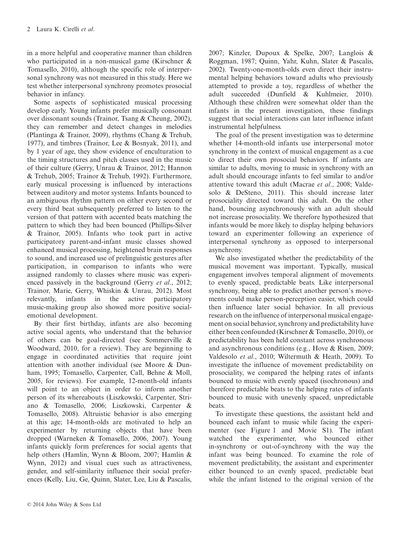in a more helpful and cooperative manner than children who participated in a non-musical game (Kirschner & Tomasello, 2010), although the specific role of interpersonal synchrony was not measured in this study. Here we test whether interpersonal synchrony promotes prosocial behavior in infancy.

Some aspects of sophisticated musical processing develop early. Young infants prefer musically consonant over dissonant sounds (Trainor, Tsang & Cheung, 2002), they can remember and detect changes in melodies (Plantinga & Trainor, 2009), rhythms (Chang & Trehub, 1977), and timbres (Trainor, Lee & Bosnyak, 2011), and by 1 year of age, they show evidence of enculturation to the timing structures and pitch classes used in the music of their culture (Gerry, Unrau & Trainor, 2012; Hannon & Trehub, 2005; Trainor & Trehub, 1992). Furthermore, early musical processing is influenced by interactions between auditory and motor systems. Infants bounced to an ambiguous rhythm pattern on either every second or every third beat subsequently preferred to listen to the version of that pattern with accented beats matching the pattern to which they had been bounced (Phillips-Silver & Trainor, 2005). Infants who took part in active participatory parent-and-infant music classes showed enhanced musical processing, heightened brain responses to sound, and increased use of prelinguistic gestures after participation, in comparison to infants who were assigned randomly to classes where music was experienced passively in the background (Gerry et al., 2012; Trainor, Marie, Gerry, Whiskin & Unrau, 2012). Most relevantly, infants in the active participatory music-making group also showed more positive socialemotional development.

By their first birthday, infants are also becoming active social agents, who understand that the behavior of others can be goal-directed (see Sommerville & Woodward, 2010, for a review). They are beginning to engage in coordinated activities that require joint attention with another individual (see Moore & Dunham, 1995; Tomasello, Carpenter, Call, Behne & Moll, 2005, for reviews). For example, 12-month-old infants will point to an object in order to inform another person of its whereabouts (Liszkowski, Carpenter, Striano & Tomasello, 2006; Liszkowski, Carpenter & Tomasello, 2008). Altruistic behavior is also emerging at this age; 14-month-olds are motivated to help an experimenter by returning objects that have been dropped (Warneken & Tomasello, 2006, 2007). Young infants quickly form preferences for social agents that help others (Hamlin, Wynn & Bloom, 2007; Hamlin & Wynn, 2012) and visual cues such as attractiveness, gender, and self-similarity influence their social preferences (Kelly, Liu, Ge, Quinn, Slater, Lee, Liu & Pascalis, 2007; Kinzler, Dupoux & Spelke, 2007; Langlois & Roggman, 1987; Quinn, Yahr, Kuhn, Slater & Pascalis, 2002). Twenty-one-month-olds even direct their instrumental helping behaviors toward adults who previously attempted to provide a toy, regardless of whether the adult succeeded (Dunfield & Kuhlmeier, 2010). Although these children were somewhat older than the infants in the present investigation, these findings suggest that social interactions can later influence infant instrumental helpfulness.

The goal of the present investigation was to determine whether 14-month-old infants use interpersonal motor synchrony in the context of musical engagement as a cue to direct their own prosocial behaviors. If infants are similar to adults, moving to music in synchrony with an adult should encourage infants to feel similar to and/or attentive toward this adult (Macrae et al., 2008; Valdesolo & DeSteno, 2011). This should increase later prosociality directed toward this adult. On the other hand, bouncing asynchronously with an adult should not increase prosociality. We therefore hypothesized that infants would be more likely to display helping behaviors toward an experimenter following an experience of interpersonal synchrony as opposed to interpersonal asynchrony.

We also investigated whether the predictability of the musical movement was important. Typically, musical engagement involves temporal alignment of movements to evenly spaced, predictable beats. Like interpersonal synchrony, being able to predict another person's movements could make person-perception easier, which could then influence later social behavior. In all previous research on the influence of interpersonal musical engagement on social behavior, synchrony and predictability have either been confounded (Kirschner & Tomasello, 2010), or predictability has been held constant across synchronous and asynchronous conditions (e.g., Hove & Risen, 2009; Valdesolo et al., 2010; Wiltermuth & Heath, 2009). To investigate the influence of movement predictability on prosociality, we compared the helping rates of infants bounced to music with evenly spaced (isochronous) and therefore predictable beats to the helping rates of infants bounced to music with unevenly spaced, unpredictable beats.

To investigate these questions, the assistant held and bounced each infant to music while facing the experimenter (see Figure 1 and Movie S1). The infant watched the experimenter, who bounced either in-synchrony or out-of-synchrony with the way the infant was being bounced. To examine the role of movement predictability, the assistant and experimenter either bounced to an evenly spaced, predictable beat while the infant listened to the original version of the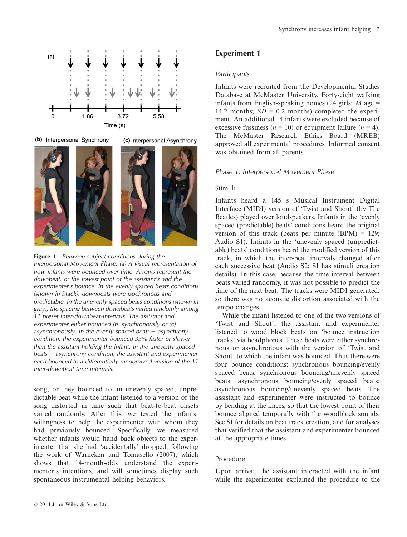

(b) Interpersonal Synchrony (c) Interpersonal Asynchrony



Figure 1 Between-subject conditions during the Interpersonal Movement Phase. (a) A visual representation of how infants were bounced over time. Arrows represent the downbeat, or the lowest point of the assistant's and the experimenter's bounce. In the evenly spaced beats conditions (shown in black), downbeats were isochronous and predictable. In the unevenly spaced beats conditions (shown in gray), the spacing between downbeats varied randomly among 11 preset inter-downbeat-intervals. The assistant and experimenter either bounced (b) synchronously or (c) asynchronously. In the evenly spaced beats + asynchrony condition, the experimenter bounced 33% faster or slower than the assistant holding the infant. In the unevenly spaced beats + asynchrony condition, the assistant and experimenter each bounced to a differentially randomized version of the 11 inter-downbeat time intervals.

song, or they bounced to an unevenly spaced, unpredictable beat while the infant listened to a version of the song distorted in time such that beat-to-beat onsets varied randomly. After this, we tested the infants' willingness to help the experimenter with whom they had previously bounced. Specifically, we measured whether infants would hand back objects to the experimenter that she had 'accidentally' dropped, following the work of Warneken and Tomasello (2007), which shows that 14-month-olds understand the experimenter's intentions, and will sometimes display such spontaneous instrumental helping behaviors.

#### Experiment 1

#### Participants

Infants were recruited from the Developmental Studies Database at McMaster University. Forty-eight walking infants from English-speaking homes (24 girls;  $M$  age = 14.2 months;  $SD = 0.2$  months) completed the experiment. An additional 14 infants were excluded because of excessive fussiness ( $n = 10$ ) or equipment failure ( $n = 4$ ). The McMaster Research Ethics Board (MREB) approved all experimental procedures. Informed consent was obtained from all parents.

#### Phase 1: Interpersonal Movement Phase

#### Stimuli

Infants heard a 145 s Musical Instrument Digital Interface (MIDI) version of 'Twist and Shout' (by The Beatles) played over loudspeakers. Infants in the 'evenly spaced (predictable) beats' conditions heard the original version of this track (beats per minute  $(BPM) = 129$ ; Audio S1). Infants in the 'unevenly spaced (unpredictable) beats' conditions heard the modified version of this track, in which the inter-beat intervals changed after each successive beat (Audio S2; SI has stimuli creation details). In this case, because the time interval between beats varied randomly, it was not possible to predict the time of the next beat. The tracks were MIDI generated, so there was no acoustic distortion associated with the tempo changes.

While the infant listened to one of the two versions of 'Twist and Shout', the assistant and experimenter listened to wood block beats on 'bounce instruction tracks' via headphones. These beats were either synchronous or asynchronous with the version of 'Twist and Shout' to which the infant was bounced. Thus there were four bounce conditions: synchronous bouncing/evenly spaced beats; synchronous bouncing/unevenly spaced beats; asynchronous bouncing/evenly spaced beats; asynchronous bouncing/unevenly spaced beats. The assistant and experimenter were instructed to bounce by bending at the knees, so that the lowest point of their bounce aligned temporally with the woodblock sounds. See SI for details on beat track creation, and for analyses that verified that the assistant and experimenter bounced at the appropriate times.

#### Procedure

Upon arrival, the assistant interacted with the infant while the experimenter explained the procedure to the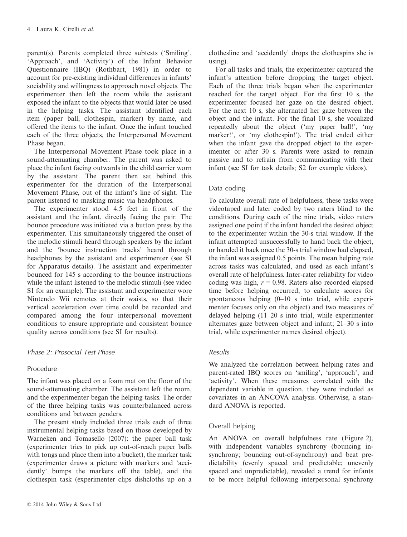parent(s). Parents completed three subtests ('Smiling', 'Approach', and 'Activity') of the Infant Behavior Questionnaire (IBQ) (Rothbart, 1981) in order to account for pre-existing individual differences in infants' sociability and willingness to approach novel objects. The experimenter then left the room while the assistant exposed the infant to the objects that would later be used in the helping tasks. The assistant identified each item (paper ball, clothespin, marker) by name, and offered the items to the infant. Once the infant touched each of the three objects, the Interpersonal Movement Phase began.

The Interpersonal Movement Phase took place in a sound-attenuating chamber. The parent was asked to place the infant facing outwards in the child carrier worn by the assistant. The parent then sat behind this experimenter for the duration of the Interpersonal Movement Phase, out of the infant's line of sight. The parent listened to masking music via headphones.

The experimenter stood 4.5 feet in front of the assistant and the infant, directly facing the pair. The bounce procedure was initiated via a button press by the experimenter. This simultaneously triggered the onset of the melodic stimuli heard through speakers by the infant and the 'bounce instruction tracks' heard through headphones by the assistant and experimenter (see SI for Apparatus details). The assistant and experimenter bounced for 145 s according to the bounce instructions while the infant listened to the melodic stimuli (see video S1 for an example). The assistant and experimenter wore Nintendo Wii remotes at their waists, so that their vertical acceleration over time could be recorded and compared among the four interpersonal movement conditions to ensure appropriate and consistent bounce quality across conditions (see SI for results).

#### Phase 2: Prosocial Test Phase

#### Procedure

The infant was placed on a foam mat on the floor of the sound-attenuating chamber. The assistant left the room, and the experimenter began the helping tasks. The order of the three helping tasks was counterbalanced across conditions and between genders.

The present study included three trials each of three instrumental helping tasks based on those developed by Warneken and Tomasello (2007): the paper ball task (experimenter tries to pick up out-of-reach paper balls with tongs and place them into a bucket), the marker task (experimenter draws a picture with markers and 'accidently' bumps the markers off the table), and the clothespin task (experimenter clips dishcloths up on a

clothesline and 'accidently' drops the clothespins she is using).

For all tasks and trials, the experimenter captured the infant's attention before dropping the target object. Each of the three trials began when the experimenter reached for the target object. For the first 10 s, the experimenter focused her gaze on the desired object. For the next 10 s, she alternated her gaze between the object and the infant. For the final 10 s, she vocalized repeatedly about the object ('my paper ball!', 'my marker!', or 'my clothespin!'). The trial ended either when the infant gave the dropped object to the experimenter or after 30 s. Parents were asked to remain passive and to refrain from communicating with their infant (see SI for task details; S2 for example videos).

#### Data coding

To calculate overall rate of helpfulness, these tasks were videotaped and later coded by two raters blind to the conditions. During each of the nine trials, video raters assigned one point if the infant handed the desired object to the experimenter within the 30-s trial window. If the infant attempted unsuccessfully to hand back the object, or handed it back once the 30-s trial window had elapsed, the infant was assigned 0.5 points. The mean helping rate across tasks was calculated, and used as each infant's overall rate of helpfulness. Inter-rater reliability for video coding was high,  $r = 0.98$ . Raters also recorded elapsed time before helping occurred, to calculate scores for spontaneous helping (0–10 s into trial, while experimenter focuses only on the object) and two measures of delayed helping (11–20 s into trial, while experimenter alternates gaze between object and infant; 21–30 s into trial, while experimenter names desired object).

#### Results

We analyzed the correlation between helping rates and parent-rated IBQ scores on 'smiling', 'approach', and 'activity'. When these measures correlated with the dependent variable in question, they were included as covariates in an ANCOVA analysis. Otherwise, a standard ANOVA is reported.

#### Overall helping

An ANOVA on overall helpfulness rate (Figure 2), with independent variables synchrony (bouncing insynchrony; bouncing out-of-synchrony) and beat predictability (evenly spaced and predictable; unevenly spaced and unpredictable), revealed a trend for infants to be more helpful following interpersonal synchrony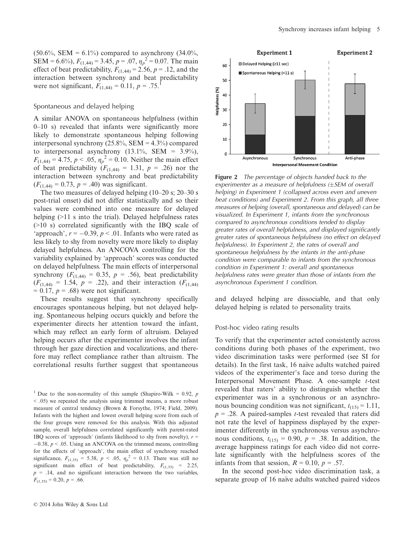$(50.6\%, \text{SEM} = 6.1\%)$  compared to asynchrony  $(34.0\%, \text{V})$ SEM = 6.6%),  $F_{(1,44)} = 3.45$ ,  $p = .07$ ,  $\eta_p^2 = 0.07$ . The main effect of beat predictability,  $F_{(1,44)} = 2.56$ ,  $p = .12$ , and the interaction between synchrony and beat predictability were not significant,  $F_{(1,44)} = 0.11$ ,  $p = .75$ <sup>1</sup>

#### Spontaneous and delayed helping

A similar ANOVA on spontaneous helpfulness (within 0–10 s) revealed that infants were significantly more likely to demonstrate spontaneous helping following interpersonal synchrony  $(25.8\%, \text{SEM} = 4.3\%)$  compared to interpersonal asynchrony  $(13.1\%, \text{SEM} = 3.9\%),$  $F_{(1,44)} = 4.75, p < .05, \eta_p^2 = 0.10$ . Neither the main effect of beat predictability  $(F_{(1,44)} = 1.31, p = .26)$  nor the interaction between synchrony and beat predictability  $(F_{(1,44)} = 0.73, p = .40)$  was significant.

The two measures of delayed helping (10–20 s; 20–30 s post-trial onset) did not differ statistically and so their values were combined into one measure for delayed helping (>11 s into the trial). Delayed helpfulness rates (>10 s) correlated significantly with the IBQ scale of 'approach',  $r = -0.39$ ,  $p < 0.01$ . Infants who were rated as less likely to shy from novelty were more likely to display delayed helpfulness. An ANCOVA controlling for the variability explained by 'approach' scores was conducted on delayed helpfulness. The main effects of interpersonal synchrony ( $F_{(1,44)} = 0.35$ ,  $p = .56$ ), beat predictability  $(F_{(1,44)} = 1.54, p = .22)$ , and their interaction  $(F_{(1,44)}$  $= 0.17$ ,  $p = .68$ ) were not significant.

These results suggest that synchrony specifically encourages spontaneous helping, but not delayed helping. Spontaneous helping occurs quickly and before the experimenter directs her attention toward the infant, which may reflect an early form of altruism. Delayed helping occurs after the experimenter involves the infant through her gaze direction and vocalizations, and therefore may reflect compliance rather than altruism. The correlational results further suggest that spontaneous



**Figure 2** The percentage of objects handed back to the experimenter as a measure of helpfulness  $(\pm SEM$  of overall helping) in Experiment 1 (collapsed across even and uneven beat conditions) and Experiment 2. From this graph, all three measures of helping (overall, spontaneous and delayed) can be visualized. In Experiment 1, infants from the synchronous compared to asynchronous conditions tended to display greater rates of overall helpfulness, and displayed significantly greater rates of spontaneous helpfulness (no effect on delayed helpfulness). In Experiment 2, the rates of overall and spontaneous helpfulness by the infants in the anti-phase condition were comparable to infants from the synchronous condition in Experiment 1: overall and spontaneous helpfulness rates were greater than those of infants from the asynchronous Experiment 1 condition.

and delayed helping are dissociable, and that only delayed helping is related to personality traits.

#### Post-hoc video rating results

To verify that the experimenter acted consistently across conditions during both phases of the experiment, two video discrimination tasks were performed (see SI for details). In the first task, 16 naïve adults watched paired videos of the experimenter's face and torso during the Interpersonal Movement Phase. A one-sample t-test revealed that raters' ability to distinguish whether the experimenter was in a synchronous or an asynchronous bouncing condition was not significant,  $t_{(15)} = 1.11$ ,  $p = 0.28$ . A paired-samples *t*-test revealed that raters did not rate the level of happiness displayed by the experimenter differently in the synchronous versus asynchronous conditions,  $t_{(15)} = 0.90$ ,  $p = .38$ . In addition, the average happiness ratings for each video did not correlate significantly with the helpfulness scores of the infants from that session,  $R = 0.10$ ,  $p = .57$ .

In the second post-hoc video discrimination task, a separate group of 16 naïve adults watched paired videos

<sup>&</sup>lt;sup>1</sup> Due to the non-normality of this sample (Shapiro-Wilk = 0.92, p < .05) we repeated the analysis using trimmed means, a more robust measure of central tendency (Brown & Forsythe, 1974; Field, 2009). Infants with the highest and lowest overall helping score from each of the four groups were removed for this analysis. With this adjusted sample, overall helpfulness correlated significantly with parent-rated IBQ scores of 'approach' (infants likelihood to shy from novelty),  $r =$  $-0.38$ ,  $p < .05$ . Using an ANCOVA on the trimmed means, controlling for the effects of 'approach', the main effect of synchrony reached significance,  $F_{(1,35)} = 5.38$ ,  $p < .05$ ,  $\eta_p^2 = 0.13$ . There was still no significant main effect of beat predictability,  $F_{(1,35)}$  = 2.25,  $p = .14$ , and no significant interaction between the two variables,  $F_{(1,35)} = 0.20, p = .66.$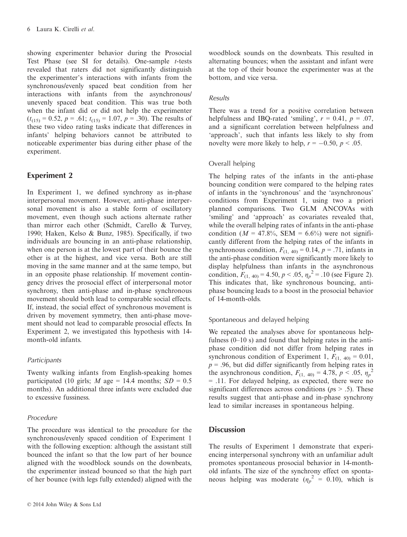showing experimenter behavior during the Prosocial Test Phase (see SI for details). One-sample  $t$ -tests revealed that raters did not significantly distinguish the experimenter's interactions with infants from the synchronous/evenly spaced beat condition from her interactions with infants from the asynchronous/ unevenly spaced beat condition. This was true both when the infant did or did not help the experimenter  $(t_{(15)} = 0.52, p = .61; t_{(15)} = 1.07, p = .30)$ . The results of these two video rating tasks indicate that differences in infants' helping behaviors cannot be attributed to noticeable experimenter bias during either phase of the experiment.

# Experiment 2

In Experiment 1, we defined synchrony as in-phase interpersonal movement. However, anti-phase interpersonal movement is also a stable form of oscillatory movement, even though such actions alternate rather than mirror each other (Schmidt, Carello & Turvey, 1990; Haken, Kelso & Bunz, 1985). Specifically, if two individuals are bouncing in an anti-phase relationship, when one person is at the lowest part of their bounce the other is at the highest, and vice versa. Both are still moving in the same manner and at the same tempo, but in an opposite phase relationship. If movement contingency drives the prosocial effect of interpersonal motor synchrony, then anti-phase and in-phase synchronous movement should both lead to comparable social effects. If, instead, the social effect of synchronous movement is driven by movement symmetry, then anti-phase movement should not lead to comparable prosocial effects. In Experiment 2, we investigated this hypothesis with 14 month-old infants.

#### **Participants**

Twenty walking infants from English-speaking homes participated (10 girls; *M* age = 14.4 months;  $SD = 0.5$ months). An additional three infants were excluded due to excessive fussiness.

#### Procedure

The procedure was identical to the procedure for the synchronous/evenly spaced condition of Experiment 1 with the following exception: although the assistant still bounced the infant so that the low part of her bounce aligned with the woodblock sounds on the downbeats, the experimenter instead bounced so that the high part of her bounce (with legs fully extended) aligned with the

woodblock sounds on the downbeats. This resulted in alternating bounces; when the assistant and infant were at the top of their bounce the experimenter was at the bottom, and vice versa.

#### Results

There was a trend for a positive correlation between helpfulness and IBQ-rated 'smiling',  $r = 0.41$ ,  $p = .07$ , and a significant correlation between helpfulness and 'approach', such that infants less likely to shy from novelty were more likely to help,  $r = -0.50$ ,  $p < .05$ .

#### Overall helping

The helping rates of the infants in the anti-phase bouncing condition were compared to the helping rates of infants in the 'synchronous' and the 'asynchronous' conditions from Experiment 1, using two a priori planned comparisons. Two GLM ANCOVAs with 'smiling' and 'approach' as covariates revealed that, while the overall helping rates of infants in the anti-phase condition ( $M = 47.8\%$ , SEM = 6.6%) were not significantly different from the helping rates of the infants in synchronous condition,  $F_{(1, 40)} = 0.14$ ,  $p = .71$ , infants in the anti-phase condition were significantly more likely to display helpfulness than infants in the asynchronous condition,  $F_{(1, 40)} = 4.50$ ,  $p < .05$ ,  $\eta_p^2 = .10$  (see Figure 2). This indicates that, like synchronous bouncing, antiphase bouncing leads to a boost in the prosocial behavior of 14-month-olds.

Spontaneous and delayed helping

We repeated the analyses above for spontaneous helpfulness  $(0-10 s)$  and found that helping rates in the antiphase condition did not differ from helping rates in synchronous condition of Experiment 1,  $F_{(1, 40)} = 0.01$ ,  $p = .96$ , but did differ significantly from helping rates in the asynchronous condition,  $F_{(1, 40)} = 4.78$ ,  $p < .05$ ,  $\eta_p^2$ = .11. For delayed helping, as expected, there were no significant differences across conditions ( $ps > .5$ ). These results suggest that anti-phase and in-phase synchrony lead to similar increases in spontaneous helping.

#### **Discussion**

The results of Experiment 1 demonstrate that experiencing interpersonal synchrony with an unfamiliar adult promotes spontaneous prosocial behavior in 14-monthold infants. The size of the synchrony effect on spontaneous helping was moderate  $(\eta_p^2 = 0.10)$ , which is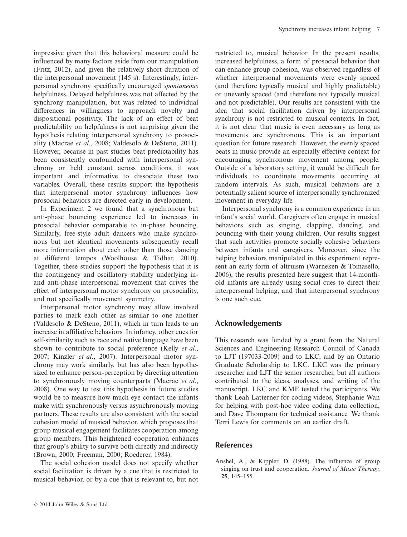impressive given that this behavioral measure could be influenced by many factors aside from our manipulation (Fritz, 2012), and given the relatively short duration of the interpersonal movement (145 s). Interestingly, interpersonal synchrony specifically encouraged spontaneous helpfulness. Delayed helpfulness was not affected by the synchrony manipulation, but was related to individual differences in willingness to approach novelty and dispositional positivity. The lack of an effect of beat predictability on helpfulness is not surprising given the hypothesis relating interpersonal synchrony to prosociality (Macrae et al., 2008; Valdesolo & DeSteno, 2011). However, because in past studies beat predictability has been consistently confounded with interpersonal synchrony or held constant across conditions, it was important and informative to dissociate these two variables. Overall, these results support the hypothesis that interpersonal motor synchrony influences how prosocial behaviors are directed early in development.

In Experiment 2 we found that a synchronous but anti-phase bouncing experience led to increases in prosocial behavior comparable to in-phase bouncing. Similarly, free-style adult dancers who make synchronous but not identical movements subsequently recall more information about each other than those dancing at different tempos (Woolhouse & Tidhar, 2010). Together, these studies support the hypothesis that it is the contingency and oscillatory stability underlying inand anti-phase interpersonal movement that drives the effect of interpersonal motor synchrony on prosociality, and not specifically movement symmetry.

Interpersonal motor synchrony may allow involved parties to mark each other as similar to one another (Valdesolo & DeSteno, 2011), which in turn leads to an increase in affiliative behaviors. In infancy, other cues for self-similarity such as race and native language have been shown to contribute to social preference (Kelly *et al.*, 2007; Kinzler et al., 2007). Interpersonal motor synchrony may work similarly, but has also been hypothesized to enhance person-perception by directing attention to synchronously moving counterparts (Macrae *et al.*, 2008). One way to test this hypothesis in future studies would be to measure how much eye contact the infants make with synchronously versus asynchronously moving partners. These results are also consistent with the social cohesion model of musical behavior, which proposes that group musical engagement facilitates cooperation among group members. This heightened cooperation enhances that group's ability to survive both directly and indirectly (Brown, 2000; Freeman, 2000; Roederer, 1984).

The social cohesion model does not specify whether social facilitation is driven by a cue that is restricted to musical behavior, or by a cue that is relevant to, but not restricted to, musical behavior. In the present results, increased helpfulness, a form of prosocial behavior that can enhance group cohesion, was observed regardless of whether interpersonal movements were evenly spaced (and therefore typically musical and highly predictable) or unevenly spaced (and therefore not typically musical and not predictable). Our results are consistent with the idea that social facilitation driven by interpersonal synchrony is not restricted to musical contexts. In fact, it is not clear that music is even necessary as long as movements are synchronous. This is an important question for future research. However, the evenly spaced beats in music provide an especially effective context for encouraging synchronous movement among people. Outside of a laboratory setting, it would be difficult for individuals to coordinate movements occurring at random intervals. As such, musical behaviors are a potentially salient source of interpersonally synchronized movement in everyday life.

Interpersonal synchrony is a common experience in an infant's social world. Caregivers often engage in musical behaviors such as singing, clapping, dancing, and bouncing with their young children. Our results suggest that such activities promote socially cohesive behaviors between infants and caregivers. Moreover, since the helping behaviors manipulated in this experiment represent an early form of altruism (Warneken & Tomasello, 2006), the results presented here suggest that 14-monthold infants are already using social cues to direct their interpersonal helping, and that interpersonal synchrony is one such cue.

# Acknowledgements

This research was funded by a grant from the Natural Sciences and Engineering Research Council of Canada to LJT (197033-2009) and to LKC, and by an Ontario Graduate Scholarship to LKC. LKC was the primary researcher and LJT the senior researcher, but all authors contributed to the ideas, analyses, and writing of the manuscript. LKC and KME tested the participants. We thank Leah Latterner for coding videos, Stephanie Wan for helping with post-hoc video coding data collection, and Dave Thompson for technical assistance. We thank Terri Lewis for comments on an earlier draft.

# References

Anshel, A., & Kippler, D. (1988). The influence of group singing on trust and cooperation. Journal of Music Therapy, 25, 145–155.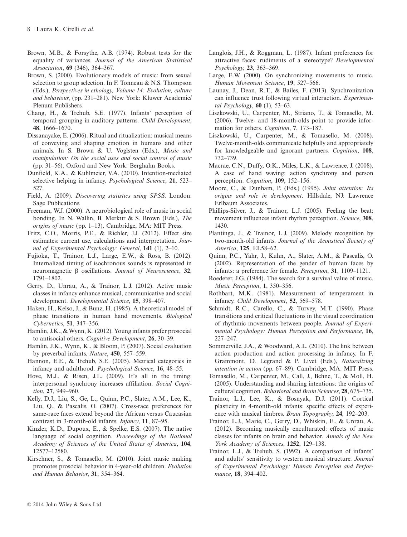- Brown, M.B., & Forsythe, A.B. (1974). Robust tests for the equality of variances. Journal of the American Statistical Association, 69 (346), 364–367.
- Brown, S. (2000). Evolutionary models of music: from sexual selection to group selection. In F. Tonneau & N.S. Thompson (Eds.), Perspectives in ethology, Volume 14: Evolution, culture and behaviour, (pp. 231–281). New York: Kluwer Academic/ Plenum Publishers.
- Chang, H., & Trehub, S.E. (1977). Infants' perception of temporal grouping in auditory patterns. Child Development, 48, 1666–1670.
- Dissanayake, E. (2006). Ritual and ritualization: musical means of conveying and shaping emotion in humans and other animals. In S. Brown & U. Voglsten (Eds.), Music and manipulation: On the social uses and social control of music (pp. 31–56). Oxford and New York: Berghahn Books.
- Dunfield, K.A., & Kuhlmeier, V.A. (2010). Intention-mediated selective helping in infancy. *Psychological Science*, 21, 523– 527.
- Field, A. (2009). Discovering statistics using SPSS. London: Sage Publications.
- Freeman, W.J. (2000). A neurobiological role of music in social bonding. In N. Wallin, B. Merkur & S. Brown (Eds.), The origins of music (pp. 1–13). Cambridge, MA: MIT Press.
- Fritz, C.O., Morris, P.E., & Richler, J.J. (2012). Effect size estimates: current use, calculations and interpretation. Journal of Experimental Psychology: General, 141 (1), 2–10.
- Fujioka, T., Trainor, L.J., Large, E.W., & Ross, B. (2012). Internalized timing of isochronous sounds is represented in neuromagnetic  $\beta$  oscillations. Journal of Neuroscience, 32, 1791–1802.
- Gerry, D., Unrau, A., & Trainor, L.J. (2012). Active music classes in infancy enhance musical, communicative and social development. Developmental Science, 15, 398–407.
- Haken, H., Kelso, J., & Bunz, H. (1985). A theoretical model of phase transitions in human hand movements. Biological Cybernetics, 51, 347–356.
- Hamlin, J.K., & Wynn, K. (2012). Young infants prefer prosocial to antisocial others. Cognitive Development, 26, 30–39.
- Hamlin, J.K., Wynn, K., & Bloom, P. (2007). Social evaluation by preverbal infants. Nature, 450, 557–559.
- Hannon, E.E., & Trehub, S.E. (2005). Metrical categories in infancy and adulthood. Psychological Science, 16, 48–55.
- Hove, M.J., & Risen, J.L. (2009). It's all in the timing: interpersonal synchrony increases affiliation. Social Cognition, 27, 949–960.
- Kelly, D.J., Liu, S., Ge, L., Quinn, P.C., Slater, A.M., Lee, K., Liu, Q., & Pascalis, O. (2007). Cross-race preferences for same-race faces extend beyond the African versus Caucasian contrast in 3-month-old infants. Infancy, 11, 87–95.
- Kinzler, K.D., Dupoux, E., & Spelke, E.S. (2007). The native language of social cognition. Proceedings of the National Academy of Sciences of the United States of America, 104, 12577–12580.
- Kirschner, S., & Tomasello, M. (2010). Joint music making promotes prosocial behavior in 4-year-old children. Evolution and Human Behavior, 31, 354–364.
- Langlois, J.H., & Roggman, L. (1987). Infant preferences for attractive faces: rudiments of a stereotype? Developmental Psychology, 23, 363–369.
- Large, E.W. (2000). On synchronizing movements to music. Human Movement Science, 19, 527–566.
- Launay, J., Dean, R.T., & Bailes, F. (2013). Synchronization can influence trust following virtual interaction. Experimental Psychology,  $60$  (1), 53–63.
- Liszkowski, U., Carpenter, M., Striano, T., & Tomasello, M. (2006). Twelve- and 18-month-olds point to provide information for others. *Cognition*, 7, 173–187.
- Liszkowski, U., Carpenter, M., & Tomasello, M. (2008). Twelve-month-olds communicate helpfully and appropriately for knowledgeable and ignorant partners. Cognition, 108, 732–739.
- Macrae, C.N., Duffy, O.K., Miles, L.K., & Lawrence, J. (2008). A case of hand waving: action synchrony and person perception. Cognition, 109, 152–156.
- Moore, C., & Dunham, P. (Eds.) (1995). Joint attention: Its origins and role in development. Hillsdale, NJ: Lawrence Erlbaum Associates.
- Phillips-Silver, J., & Trainor, L.J. (2005). Feeling the beat: movement influences infant rhythm perception. Science, 308, 1430.
- Plantinga, J., & Trainor, L.J. (2009). Melody recognition by two-month-old infants. Journal of the Acoustical Society of America, 125, EL58–62.
- Quinn, P.C., Yahr, J., Kuhn, A., Slater, A.M., & Pascalis, O. (2002). Representation of the gender of human faces by infants: a preference for female. Perception, 31, 1109–1121.
- Roederer, J.G. (1984). The search for a survival value of music. Music Perception, 1, 350–356.
- Rothbart, M.K. (1981). Measurement of temperament in infancy. Child Development, 52, 569–578.
- Schmidt, R.C., Carello, C., & Turvey, M.T. (1990). Phase transitions and critical fluctuations in the visual coordination of rhythmic movements between people. Journal of Experimental Psychology: Human Perception and Performance, 16, 227–247.
- Sommerville, J.A., & Woodward, A.L. (2010). The link between action production and action processing in infancy. In F. Grammont, D. Legrand & P. Livet (Eds.), Naturalizing intention in action (pp. 67–89). Cambridge, MA: MIT Press.
- Tomasello, M., Carpenter, M., Call, J., Behne, T., & Moll, H. (2005). Understanding and sharing intentions: the origins of cultural cognition. Behavioral and Brain Sciences, 28, 675–735.
- Trainor, L.J., Lee, K., & Bosnyak, D.J. (2011). Cortical plasticity in 4-month-old infants: specific effects of experience with musical timbres. Brain Topography, 24, 192–203.
- Trainor, L.J., Marie, C., Gerry, D., Whiskin, E., & Unrau, A. (2012). Becoming musically enculturated: effects of music classes for infants on brain and behavior. Annals of the New York Academy of Sciences, 1252, 129–138.
- Trainor, L.J., & Trehub, S. (1992). A comparison of infants' and adults' sensitivity to western musical structure. Journal of Experimental Psychology: Human Perception and Performance, 18, 394–402.